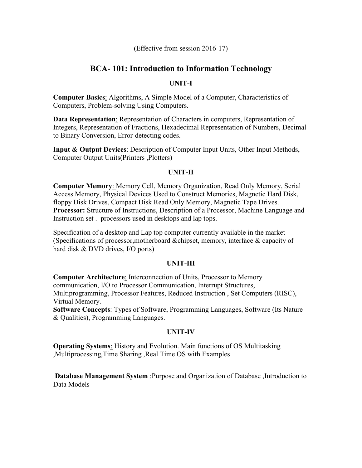(Effective from session 2016-17)

# **BCA- 101: Introduction to Information Technology**

## **UNIT-I**

**Computer Basics**: Algorithms, A Simple Model of a Computer, Characteristics of Computers, Problem-solving Using Computers.

**Data Representation**: Representation of Characters in computers, Representation of Integers, Representation of Fractions, Hexadecimal Representation of Numbers, Decimal to Binary Conversion, Error-detecting codes.

**Input & Output Devices**: Description of Computer Input Units, Other Input Methods, Computer Output Units(Printers ,Plotters)

## **UNIT-II**

**Computer Memory**: Memory Cell, Memory Organization, Read Only Memory, Serial Access Memory, Physical Devices Used to Construct Memories, Magnetic Hard Disk, floppy Disk Drives, Compact Disk Read Only Memory, Magnetic Tape Drives. **Processor:** Structure of Instructions, Description of a Processor, Machine Language and Instruction set . processors used in desktops and lap tops.

Specification of a desktop and Lap top computer currently available in the market (Specifications of processor,motherboard &chipset, memory, interface & capacity of hard disk & DVD drives, I/O ports)

## **UNIT-III**

**Computer Architecture**: Interconnection of Units, Processor to Memory communication, I/O to Processor Communication, Interrupt Structures, Multiprogramming, Processor Features, Reduced Instruction , Set Computers (RISC), Virtual Memory.

**Software Concepts**: Types of Software, Programming Languages, Software (Its Nature & Qualities), Programming Languages.

# **UNIT-IV**

**Operating Systems**: History and Evolution. Main functions of OS Multitasking ,Multiprocessing,Time Sharing ,Real Time OS with Examples

**Database Management System** :Purpose and Organization of Database ,Introduction to Data Models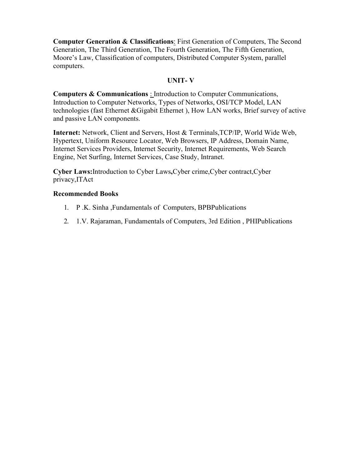**Computer Generation & Classifications**: First Generation of Computers, The Second Generation, The Third Generation, The Fourth Generation, The Fifth Generation, Moore's Law, Classification of computers, Distributed Computer System, parallel computers.

## **UNIT- V**

**Computers & Communications** : Introduction to Computer Communications, Introduction to Computer Networks, Types of Networks, OSI/TCP Model, LAN technologies (fast Ethernet &Gigabit Ethernet ), How LAN works, Brief survey of active and passive LAN components.

**Internet:** Network, Client and Servers, Host & Terminals,TCP/IP, World Wide Web, Hypertext, Uniform Resource Locator, Web Browsers, IP Address, Domain Name, Internet Services Providers, Internet Security, Internet Requirements, Web Search Engine, Net Surfing, Internet Services, Case Study, Intranet.

**Cyber Laws:**Introduction to Cyber Laws**,**Cyber crime,Cyber contract,Cyber privacy,ITAct

## **Recommended Books**

- 1. P .K. Sinha ,Fundamentals of Computers, BPBPublications
- 2. 1.V. Rajaraman, Fundamentals of Computers, 3rd Edition , PHIPublications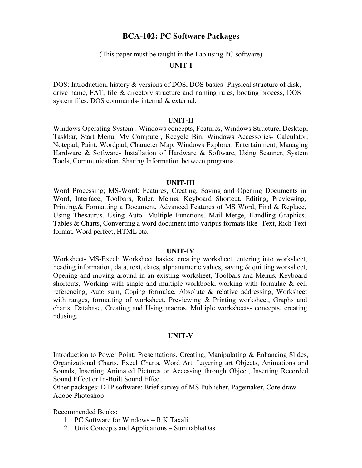# **BCA-102: PC Software Packages**

(This paper must be taught in the Lab using PC software)

#### **UNIT-I**

DOS: Introduction, history & versions of DOS, DOS basics- Physical structure of disk, drive name, FAT, file & directory structure and naming rules, booting process, DOS system files, DOS commands- internal & external,

#### **UNIT-II**

Windows Operating System : Windows concepts, Features, Windows Structure, Desktop, Taskbar, Start Menu, My Computer, Recycle Bin, Windows Accessories- Calculator, Notepad, Paint, Wordpad, Character Map, Windows Explorer, Entertainment, Managing Hardware & Software- Installation of Hardware & Software, Using Scanner, System Tools, Communication, Sharing Information between programs.

#### **UNIT-III**

Word Processing; MS-Word: Features, Creating, Saving and Opening Documents in Word, Interface, Toolbars, Ruler, Menus, Keyboard Shortcut, Editing, Previewing, Printing,& Formatting a Document, Advanced Features of MS Word, Find & Replace, Using Thesaurus, Using Auto- Multiple Functions, Mail Merge, Handling Graphics, Tables & Charts, Converting a word document into varipus formats like- Text, Rich Text format, Word perfect, HTML etc.

#### **UNIT-IV**

Worksheet- MS-Excel: Worksheet basics, creating worksheet, entering into worksheet, heading information, data, text, dates, alphanumeric values, saving & quitting worksheet, Opening and moving around in an existing worksheet, Toolbars and Menus, Keyboard shortcuts, Working with single and multiple workbook, working with formulae & cell referencing, Auto sum, Coping formulae, Absolute & relative addressing, Worksheet with ranges, formatting of worksheet, Previewing & Printing worksheet, Graphs and charts, Database, Creating and Using macros, Multiple worksheets- concepts, creating ndusing.

## **UNIT-V**

Introduction to Power Point: Presentations, Creating, Manipulating & Enhancing Slides, Organizational Charts, Excel Charts, Word Art, Layering art Objects, Animations and Sounds, Inserting Animated Pictures or Accessing through Object, Inserting Recorded Sound Effect or In-Built Sound Effect.

Other packages: DTP software: Brief survey of MS Publisher, Pagemaker, Coreldraw. Adobe Photoshop

Recommended Books:

- 1. PC Software for Windows R.K.Taxali
- 2. Unix Concepts and Applications SumitabhaDas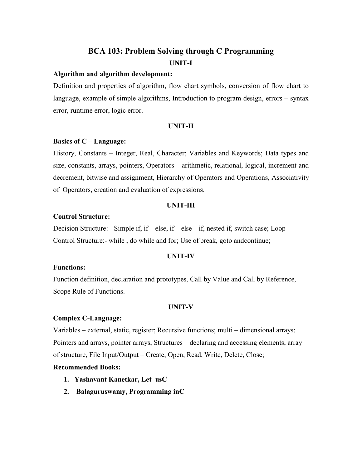# **BCA 103: Problem Solving through C Programming UNIT-I**

#### **Algorithm and algorithm development:**

Definition and properties of algorithm, flow chart symbols, conversion of flow chart to language, example of simple algorithms, Introduction to program design, errors – syntax error, runtime error, logic error.

#### **UNIT-II**

#### **Basics of C – Language:**

History, Constants – Integer, Real, Character; Variables and Keywords; Data types and size, constants, arrays, pointers, Operators – arithmetic, relational, logical, increment and decrement, bitwise and assignment, Hierarchy of Operators and Operations, Associativity of Operators, creation and evaluation of expressions.

#### **UNIT-III**

## **Control Structure:**

Decision Structure: - Simple if, if – else, if – else – if, nested if, switch case; Loop Control Structure:- while , do while and for; Use of break, goto andcontinue;

#### **UNIT-IV**

#### **Functions:**

Function definition, declaration and prototypes, Call by Value and Call by Reference, Scope Rule of Functions.

## **UNIT-V**

#### **Complex C-Language:**

Variables – external, static, register; Recursive functions; multi – dimensional arrays; Pointers and arrays, pointer arrays, Structures – declaring and accessing elements, array of structure, File Input/Output – Create, Open, Read, Write, Delete, Close;

## **Recommended Books:**

- **1. Yashavant Kanetkar, Let usC**
- **2. Balaguruswamy, Programming inC**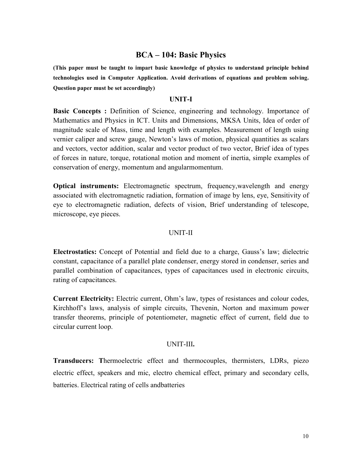# **BCA – 104: Basic Physics**

**(This paper must be taught to impart basic knowledge of physics to understand principle behind technologies used in Computer Application. Avoid derivations of equations and problem solving. Question paper must be set accordingly)** 

#### **UNIT-I**

**Basic Concepts :** Definition of Science, engineering and technology. Importance of Mathematics and Physics in ICT. Units and Dimensions, MKSA Units, Idea of order of magnitude scale of Mass, time and length with examples. Measurement of length using vernier caliper and screw gauge, Newton's laws of motion, physical quantities as scalars and vectors, vector addition, scalar and vector product of two vector, Brief idea of types of forces in nature, torque, rotational motion and moment of inertia, simple examples of conservation of energy, momentum and angularmomentum.

**Optical instruments:** Electromagnetic spectrum, frequency,wavelength and energy associated with electromagnetic radiation, formation of image by lens, eye, Sensitivity of eye to electromagnetic radiation, defects of vision, Brief understanding of telescope, microscope, eye pieces.

#### UNIT-II

**Electrostatics:** Concept of Potential and field due to a charge, Gauss's law; dielectric constant, capacitance of a parallel plate condenser, energy stored in condenser, series and parallel combination of capacitances, types of capacitances used in electronic circuits, rating of capacitances.

**Current Electricity:** Electric current, Ohm's law, types of resistances and colour codes, Kirchhoff's laws, analysis of simple circuits, Thevenin, Norton and maximum power transfer theorems, principle of potentiometer, magnetic effect of current, field due to circular current loop.

#### UNIT-III**.**

**Transducers: T**hermoelectric effect and thermocouples, thermisters, LDRs, piezo electric effect, speakers and mic, electro chemical effect, primary and secondary cells, batteries. Electrical rating of cells andbatteries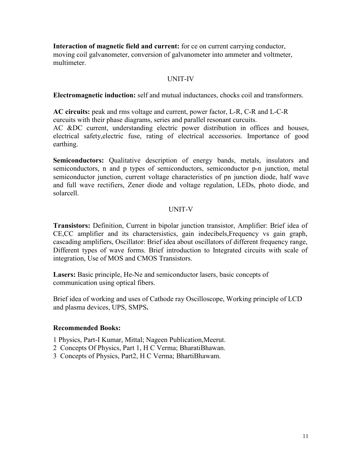**Interaction of magnetic field and current:** for ce on current carrying conductor, moving coil galvanometer, conversion of galvanometer into ammeter and voltmeter, multimeter.

## UNIT-IV

**Electromagnetic induction:** self and mutual inductances, chocks coil and transformers.

**AC circuits:** peak and rms voltage and current, power factor, L-R, C-R and L-C-R curcuits with their phase diagrams, series and parallel resonant curcuits. AC &DC current, understanding electric power distribution in offices and houses, electrical safety,electric fuse, rating of electrical accessories. Importance of good earthing.

**Semiconductors:** Qualitative description of energy bands, metals, insulators and semiconductors, n and p types of semiconductors, semiconductor p-n junction, metal semiconductor junction, current voltage characteristics of pn junction diode, half wave and full wave rectifiers, Zener diode and voltage regulation, LEDs, photo diode, and solarcell.

# UNIT-V

**Transistors:** Definition, Current in bipolar junction transistor, Amplifier: Brief idea of CE,CC amplifier and its charactersistics, gain indecibels,Frequency vs gain graph, cascading amplifiers, Oscillator: Brief idea about oscillators of different frequency range, Different types of wave forms. Brief introduction to Integrated circuits with scale of integration, Use of MOS and CMOS Transistors.

**Lasers:** Basic principle, He-Ne and semiconductor lasers, basic concepts of communication using optical fibers.

Brief idea of working and uses of Cathode ray Oscilloscope, Working principle of LCD and plasma devices, UPS, SMPS**.** 

## **Recommended Books:**

- 1 Physics, Part-I Kumar, Mittal; Nageen Publication,Meerut.
- 2 Concepts Of Physics, Part 1, H C Verma; BharatiBhawan.
- 3 Concepts of Physics, Part2, H C Verma; BhartiBhawam.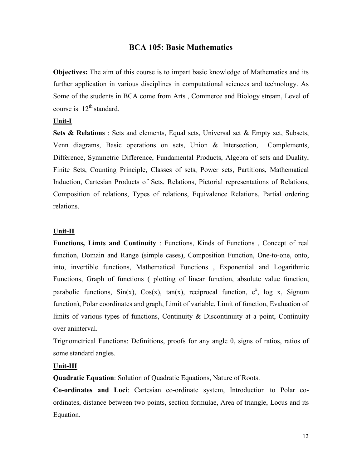# **BCA 105: Basic Mathematics**

**Objectives:** The aim of this course is to impart basic knowledge of Mathematics and its further application in various disciplines in computational sciences and technology. As Some of the students in BCA come from Arts , Commerce and Biology stream, Level of course is  $12^{th}$  standard.

## **Unit-I**

**Sets & Relations** : Sets and elements, Equal sets, Universal set & Empty set, Subsets, Venn diagrams, Basic operations on sets, Union & Intersection, Complements, Difference, Symmetric Difference, Fundamental Products, Algebra of sets and Duality, Finite Sets, Counting Principle, Classes of sets, Power sets, Partitions, Mathematical Induction, Cartesian Products of Sets, Relations, Pictorial representations of Relations, Composition of relations, Types of relations, Equivalence Relations, Partial ordering relations.

#### **Unit-II**

**Functions, Limts and Continuity** : Functions, Kinds of Functions , Concept of real function, Domain and Range (simple cases), Composition Function, One-to-one, onto, into, invertible functions, Mathematical Functions , Exponential and Logarithmic Functions, Graph of functions ( plotting of linear function, absolute value function, parabolic functions,  $Sin(x)$ ,  $Cos(x)$ ,  $tan(x)$ , reciprocal function,  $e^x$ , log x, Signum function), Polar coordinates and graph, Limit of variable, Limit of function, Evaluation of limits of various types of functions, Continuity & Discontinuity at a point, Continuity over aninterval.

Trignometrical Functions: Definitions, proofs for any angle θ, signs of ratios, ratios of some standard angles.

#### **Unit-III**

**Quadratic Equation**: Solution of Quadratic Equations, Nature of Roots.

**Co-ordinates and Loci**: Cartesian co-ordinate system, Introduction to Polar coordinates, distance between two points, section formulae, Area of triangle, Locus and its Equation.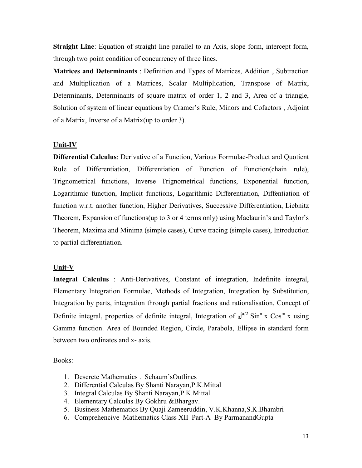**Straight Line**: Equation of straight line parallel to an Axis, slope form, intercept form, through two point condition of concurrency of three lines.

**Matrices and Determinants** : Definition and Types of Matrices, Addition , Subtraction and Multiplication of a Matrices, Scalar Multiplication, Transpose of Matrix, Determinants, Determinants of square matrix of order 1, 2 and 3, Area of a triangle, Solution of system of linear equations by Cramer's Rule, Minors and Cofactors , Adjoint of a Matrix, Inverse of a Matrix(up to order 3).

## **Unit-IV**

**Differential Calculus**: Derivative of a Function, Various Formulae-Product and Quotient Rule of Differentiation, Differentiation of Function of Function(chain rule), Trignometrical functions, Inverse Trignometrical functions, Exponential function, Logarithmic function, Implicit functions, Logarithmic Differentiation, Diffentiation of function w.r.t. another function, Higher Derivatives, Successive Differentiation, Liebnitz Theorem, Expansion of functions(up to 3 or 4 terms only) using Maclaurin's and Taylor's Theorem, Maxima and Minima (simple cases), Curve tracing (simple cases), Introduction to partial differentiation.

## **Unit-V**

**Integral Calculus** : Anti-Derivatives, Constant of integration, Indefinite integral, Elementary Integration Formulae, Methods of Integration, Integration by Substitution, Integration by parts, integration through partial fractions and rationalisation, Concept of Definite integral, properties of definite integral, Integration of  $_0$ <sup> $\pi/2$ </sup> Sin<sup>n</sup> x Cos<sup>m</sup> x using Gamma function. Area of Bounded Region, Circle, Parabola, Ellipse in standard form between two ordinates and x- axis.

Books:

- 1. Descrete Mathematics . Schaum'sOutlines
- 2. Differential Calculas By Shanti Narayan,P.K.Mittal
- 3. Integral Calculas By Shanti Narayan,P.K.Mittal
- 4. Elementary Calculas By Gokhru &Bhargav.
- 5. Business Mathematics By Quaji Zameeruddin, V.K.Khanna,S.K.Bhambri
- 6. Comprehencive Mathematics Class XII Part-A By ParmanandGupta